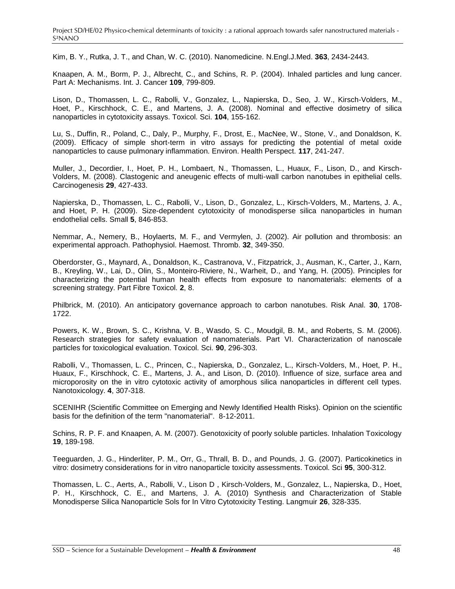Kim, B. Y., Rutka, J. T., and Chan, W. C. (2010). Nanomedicine. N.Engl.J.Med. **363**, 2434-2443.

Knaapen, A. M., Borm, P. J., Albrecht, C., and Schins, R. P. (2004). Inhaled particles and lung cancer. Part A: Mechanisms. Int. J. Cancer **109**, 799-809.

Lison, D., Thomassen, L. C., Rabolli, V., Gonzalez, L., Napierska, D., Seo, J. W., Kirsch-Volders, M., Hoet, P., Kirschhock, C. E., and Martens, J. A. (2008). Nominal and effective dosimetry of silica nanoparticles in cytotoxicity assays. Toxicol. Sci. **104**, 155-162.

Lu, S., Duffin, R., Poland, C., Daly, P., Murphy, F., Drost, E., MacNee, W., Stone, V., and Donaldson, K. (2009). Efficacy of simple short-term in vitro assays for predicting the potential of metal oxide nanoparticles to cause pulmonary inflammation. Environ. Health Perspect. **117**, 241-247.

Muller, J., Decordier, I., Hoet, P. H., Lombaert, N., Thomassen, L., Huaux, F., Lison, D., and Kirsch-Volders, M. (2008). Clastogenic and aneugenic effects of multi-wall carbon nanotubes in epithelial cells. Carcinogenesis **29**, 427-433.

Napierska, D., Thomassen, L. C., Rabolli, V., Lison, D., Gonzalez, L., Kirsch-Volders, M., Martens, J. A., and Hoet, P. H. (2009). Size-dependent cytotoxicity of monodisperse silica nanoparticles in human endothelial cells. Small **5**, 846-853.

Nemmar, A., Nemery, B., Hoylaerts, M. F., and Vermylen, J. (2002). Air pollution and thrombosis: an experimental approach. Pathophysiol. Haemost. Thromb. **32**, 349-350.

Oberdorster, G., Maynard, A., Donaldson, K., Castranova, V., Fitzpatrick, J., Ausman, K., Carter, J., Karn, B., Kreyling, W., Lai, D., Olin, S., Monteiro-Riviere, N., Warheit, D., and Yang, H. (2005). Principles for characterizing the potential human health effects from exposure to nanomaterials: elements of a screening strategy. Part Fibre Toxicol. **2**, 8.

Philbrick, M. (2010). An anticipatory governance approach to carbon nanotubes. Risk Anal. **30**, 1708- 1722.

Powers, K. W., Brown, S. C., Krishna, V. B., Wasdo, S. C., Moudgil, B. M., and Roberts, S. M. (2006). Research strategies for safety evaluation of nanomaterials. Part VI. Characterization of nanoscale particles for toxicological evaluation. Toxicol. Sci. **90**, 296-303.

Rabolli, V., Thomassen, L. C., Princen, C., Napierska, D., Gonzalez, L., Kirsch-Volders, M., Hoet, P. H., Huaux, F., Kirschhock, C. E., Martens, J. A., and Lison, D. (2010). Influence of size, surface area and microporosity on the in vitro cytotoxic activity of amorphous silica nanoparticles in different cell types. Nanotoxicology. **4**, 307-318.

SCENIHR (Scientific Committee on Emerging and Newly Identified Health Risks). Opinion on the scientific basis for the definition of the term "nanomaterial". 8-12-2011.

Schins, R. P. F. and Knaapen, A. M. (2007). Genotoxicity of poorly soluble particles. Inhalation Toxicology **19**, 189-198.

Teeguarden, J. G., Hinderliter, P. M., Orr, G., Thrall, B. D., and Pounds, J. G. (2007). Particokinetics in vitro: dosimetry considerations for in vitro nanoparticle toxicity assessments. Toxicol. Sci **95**, 300-312.

Thomassen, L. C., Aerts, A., Rabolli, V., Lison D , Kirsch-Volders, M., Gonzalez, L., Napierska, D., Hoet, P. H., Kirschhock, C. E., and Martens, J. A. (2010) Synthesis and Characterization of Stable Monodisperse Silica Nanoparticle Sols for In Vitro Cytotoxicity Testing. Langmuir **26**, 328-335.